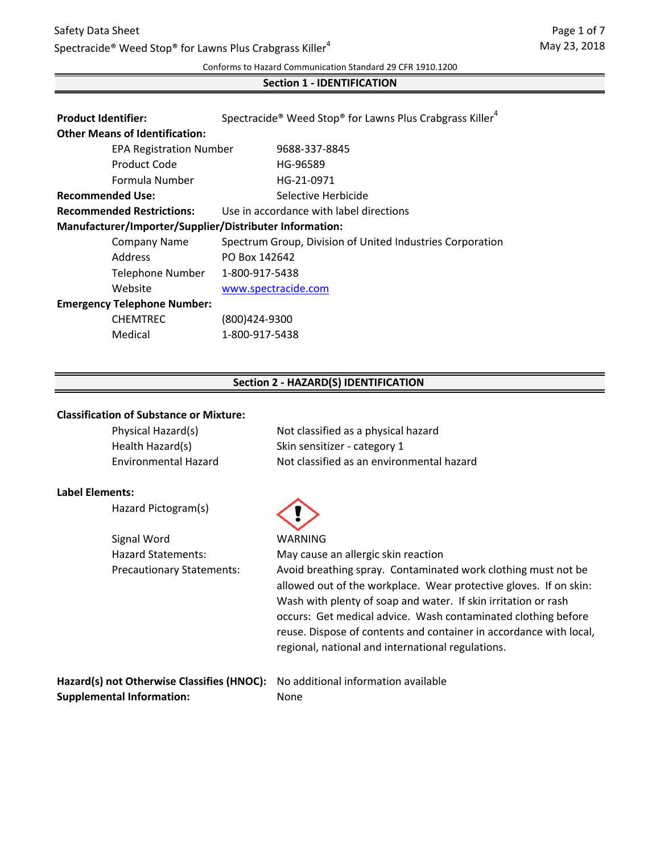# Safety Data Sheet Spectracide® Weed Stop® for Lawns Plus Crabgrass Killer<sup>4</sup>

Conforms to Hazard Communication Standard 29 CFR 1910.1200

### **Section 1 - IDENTIFICATION**

| <b>Product Identifier:</b>                              | Spectracide <sup>®</sup> Weed Stop <sup>®</sup> for Lawns Plus Crabgrass Killer <sup>4</sup> |
|---------------------------------------------------------|----------------------------------------------------------------------------------------------|
| <b>Other Means of Identification:</b>                   |                                                                                              |
| <b>EPA Registration Number</b>                          | 9688-337-8845                                                                                |
| Product Code                                            | HG-96589                                                                                     |
| Formula Number                                          | HG-21-0971                                                                                   |
| <b>Recommended Use:</b>                                 | Selective Herbicide                                                                          |
| <b>Recommended Restrictions:</b>                        | Use in accordance with label directions                                                      |
| Manufacturer/Importer/Supplier/Distributer Information: |                                                                                              |
| <b>Company Name</b>                                     | Spectrum Group, Division of United Industries Corporation                                    |
| Address                                                 | PO Box 142642                                                                                |
| <b>Telephone Number</b>                                 | 1-800-917-5438                                                                               |
| Website                                                 | www.spectracide.com                                                                          |
| <b>Emergency Telephone Number:</b>                      |                                                                                              |
| <b>CHEMTREC</b>                                         | (800)424-9300                                                                                |
| Medical                                                 | 1-800-917-5438                                                                               |

### **Section 2 - HAZARD(S) IDENTIFICATION**

#### **Classification of Substance or Mixture:**

| Physical Hazard(s)          | Not classified as a physical hazard       |
|-----------------------------|-------------------------------------------|
| Health Hazard(s)            | Skin sensitizer - category 1              |
| <b>Environmental Hazard</b> | Not classified as an environmental hazard |

#### **Label Elements:**

|  | Hazard Pictogram(s) |  |
|--|---------------------|--|
|--|---------------------|--|

Signal Word WARNING Hazard Statements:



May cause an allergic skin reaction Precautionary Statements: Avoid breathing spray. Contaminated work clothing must not be allowed out of the workplace. Wear protective gloves. If on skin: Wash with plenty of soap and water. If skin irritation or rash occurs: Get medical advice. Wash contaminated clothing before reuse. Dispose of contents and container in accordance with local, regional, national and international regulations.

**Hazard(s) not Otherwise Classifies (HNOC):** No additional information available **Supplemental Information:** None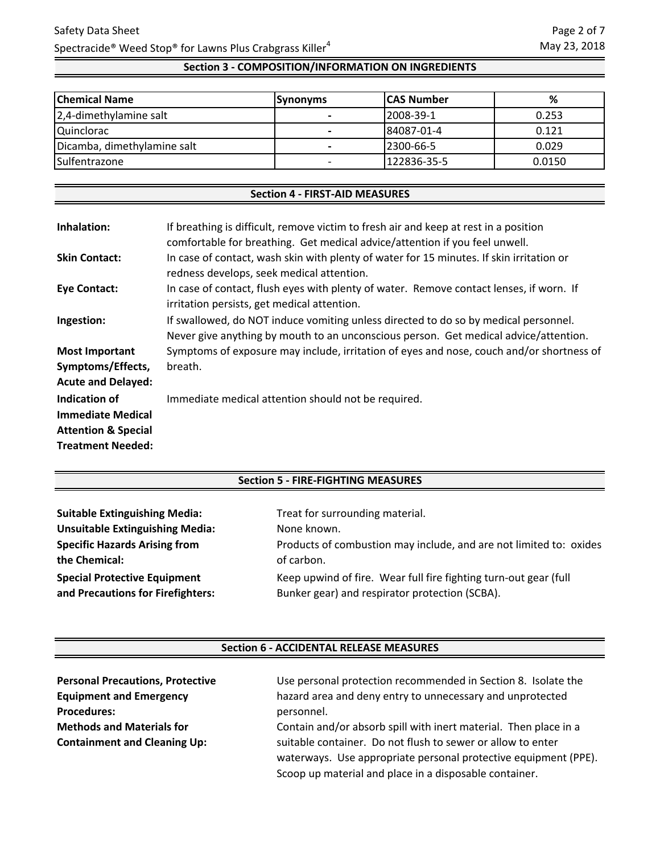# **Section 3 - COMPOSITION/INFORMATION ON INGREDIENTS**

| <b>Chemical Name</b>        | <b>Synonyms</b> | <b>ICAS Number</b> | %      |
|-----------------------------|-----------------|--------------------|--------|
| 2,4-dimethylamine salt      |                 | 2008-39-1          | 0.253  |
| <b>Quinclorac</b>           | -               | 84087-01-4         | 0.121  |
| Dicamba, dimethylamine salt |                 | 12300-66-5         | 0.029  |
| Sulfentrazone               |                 | 122836-35-5        | 0.0150 |

#### **Section 4 - FIRST-AID MEASURES**

| Inhalation:                    | If breathing is difficult, remove victim to fresh air and keep at rest in a position<br>comfortable for breathing. Get medical advice/attention if you feel unwell.         |
|--------------------------------|-----------------------------------------------------------------------------------------------------------------------------------------------------------------------------|
| <b>Skin Contact:</b>           | In case of contact, wash skin with plenty of water for 15 minutes. If skin irritation or<br>redness develops, seek medical attention.                                       |
| <b>Eye Contact:</b>            | In case of contact, flush eyes with plenty of water. Remove contact lenses, if worn. If<br>irritation persists, get medical attention.                                      |
| Ingestion:                     | If swallowed, do NOT induce vomiting unless directed to do so by medical personnel.<br>Never give anything by mouth to an unconscious person. Get medical advice/attention. |
| <b>Most Important</b>          | Symptoms of exposure may include, irritation of eyes and nose, couch and/or shortness of                                                                                    |
| Symptoms/Effects,              | breath.                                                                                                                                                                     |
| <b>Acute and Delayed:</b>      |                                                                                                                                                                             |
| Indication of                  | Immediate medical attention should not be required.                                                                                                                         |
| <b>Immediate Medical</b>       |                                                                                                                                                                             |
| <b>Attention &amp; Special</b> |                                                                                                                                                                             |
| <b>Treatment Needed:</b>       |                                                                                                                                                                             |

## **Section 5 - FIRE-FIGHTING MEASURES**

| <b>Suitable Extinguishing Media:</b>   | Treat for surrounding material.                                    |
|----------------------------------------|--------------------------------------------------------------------|
| <b>Unsuitable Extinguishing Media:</b> | None known.                                                        |
| <b>Specific Hazards Arising from</b>   | Products of combustion may include, and are not limited to: oxides |
| the Chemical:                          | of carbon.                                                         |
| <b>Special Protective Equipment</b>    | Keep upwind of fire. Wear full fire fighting turn-out gear (full   |
| and Precautions for Firefighters:      | Bunker gear) and respirator protection (SCBA).                     |

#### **Section 6 - ACCIDENTAL RELEASE MEASURES**

| <b>Personal Precautions, Protective</b> | Use personal protection recommended in Section 8. Isolate the    |
|-----------------------------------------|------------------------------------------------------------------|
| <b>Equipment and Emergency</b>          | hazard area and deny entry to unnecessary and unprotected        |
| <b>Procedures:</b>                      | personnel.                                                       |
| <b>Methods and Materials for</b>        | Contain and/or absorb spill with inert material. Then place in a |
| <b>Containment and Cleaning Up:</b>     | suitable container. Do not flush to sewer or allow to enter      |
|                                         | waterways. Use appropriate personal protective equipment (PPE).  |
|                                         | Scoop up material and place in a disposable container.           |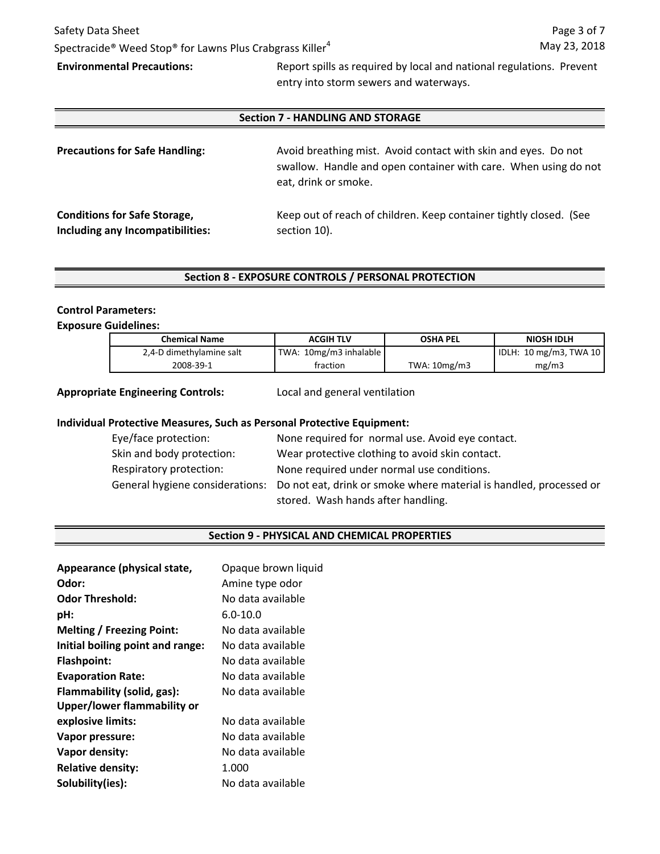# Safety Data Sheet Spectracide® Weed Stop® for Lawns Plus Crabgrass Killer<sup>4</sup>

**Environmental Precautions:** Report spills as required by local and national regulations. Prevent entry into storm sewers and waterways.

#### **Section 7 - HANDLING AND STORAGE**

| <b>Precautions for Safe Handling:</b> | Avoid breathing mist. Avoid contact with skin and eyes. Do not<br>swallow. Handle and open container with care. When using do not<br>eat, drink or smoke. |
|---------------------------------------|-----------------------------------------------------------------------------------------------------------------------------------------------------------|
| <b>Conditions for Safe Storage,</b>   | Keep out of reach of children. Keep container tightly closed. (See                                                                                        |
| Including any Incompatibilities:      | section 10).                                                                                                                                              |

### **Section 8 - EXPOSURE CONTROLS / PERSONAL PROTECTION**

#### **Control Parameters:**

#### **Exposure Guidelines:**

| <b>Chemical Name</b>     | <b>ACGIH TLV</b>       | <b>OSHA PEL</b> | NIOSH IDLH                          |
|--------------------------|------------------------|-----------------|-------------------------------------|
| 2,4-D dimethylamine salt | TWA: 10mg/m3 inhalable |                 | IDLH: $10 \text{ mg/m}$ 3, TWA $10$ |
| 2008-39-1                | fraction               | TWA: $10mg/m3$  | mg/m3                               |

#### **Appropriate Engineering Controls:**

Local and general ventilation

#### **Individual Protective Measures, Such as Personal Protective Equipment:**

| Eye/face protection:      | None required for normal use. Avoid eye contact.                                                   |
|---------------------------|----------------------------------------------------------------------------------------------------|
| Skin and body protection: | Wear protective clothing to avoid skin contact.                                                    |
| Respiratory protection:   | None required under normal use conditions.                                                         |
|                           | General hygiene considerations: Do not eat, drink or smoke where material is handled, processed or |
|                           | stored. Wash hands after handling.                                                                 |

#### **Section 9 - PHYSICAL AND CHEMICAL PROPERTIES**

| Appearance (physical state,      | Opaque brown liquid |
|----------------------------------|---------------------|
| Odor:                            | Amine type odor     |
| <b>Odor Threshold:</b>           | No data available   |
| pH:                              | $6.0 - 10.0$        |
| <b>Melting / Freezing Point:</b> | No data available   |
| Initial boiling point and range: | No data available.  |
| <b>Flashpoint:</b>               | No data available   |
| <b>Evaporation Rate:</b>         | No data available   |
| Flammability (solid, gas):       | No data available   |
| Upper/lower flammability or      |                     |
| explosive limits:                | No data available   |
| Vapor pressure:                  | No data available   |
| Vapor density:                   | No data available   |
| <b>Relative density:</b>         | 1.000               |
| Solubility(ies):                 | No data available   |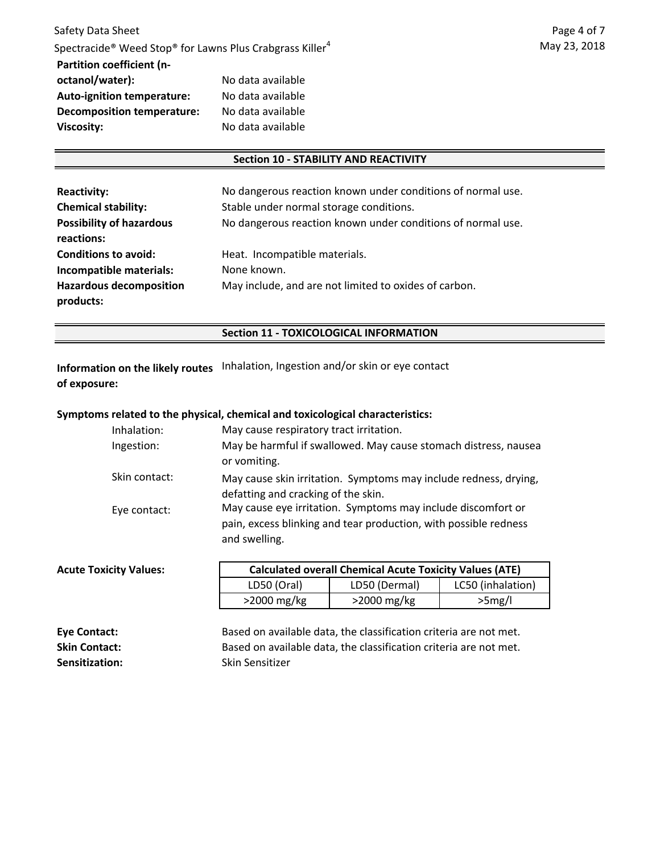#### **Section 10 - STABILITY AND REACTIVITY**

| <b>Reactivity:</b>                          | No dangerous reaction known under conditions of normal use. |
|---------------------------------------------|-------------------------------------------------------------|
| <b>Chemical stability:</b>                  | Stable under normal storage conditions.                     |
| <b>Possibility of hazardous</b>             | No dangerous reaction known under conditions of normal use. |
| reactions:                                  |                                                             |
| <b>Conditions to avoid:</b>                 | Heat. Incompatible materials.                               |
| Incompatible materials:                     | None known.                                                 |
| <b>Hazardous decomposition</b><br>products: | May include, and are not limited to oxides of carbon.       |

#### **Section 11 - TOXICOLOGICAL INFORMATION**

**Information on the likely routes** Inhalation, Ingestion and/or skin or eye contact **of exposure:**

#### **Symptoms related to the physical, chemical and toxicological characteristics:**

| May cause respiratory tract irritation.                          |
|------------------------------------------------------------------|
| May be harmful if swallowed. May cause stomach distress, nausea  |
| or vomiting.                                                     |
| May cause skin irritation. Symptoms may include redness, drying, |
| defatting and cracking of the skin.                              |
| May cause eye irritation. Symptoms may include discomfort or     |
| pain, excess blinking and tear production, with possible redness |
| and swelling.                                                    |
|                                                                  |

| <b>Acute Toxicity Values:</b> | <b>Calculated overall Chemical Acute Toxicity Values (ATE)</b> |                |                   |
|-------------------------------|----------------------------------------------------------------|----------------|-------------------|
|                               | LD50 (Oral)                                                    | LD50 (Dermal)  | LC50 (inhalation) |
|                               | $>$ 2000 mg/kg                                                 | $>$ 2000 mg/kg | >5mg/l            |

| Eye Contact:          | Based on available data, the classification criteria are not met. |
|-----------------------|-------------------------------------------------------------------|
| <b>Skin Contact:</b>  | Based on available data, the classification criteria are not met. |
| <b>Sensitization:</b> | Skin Sensitizer                                                   |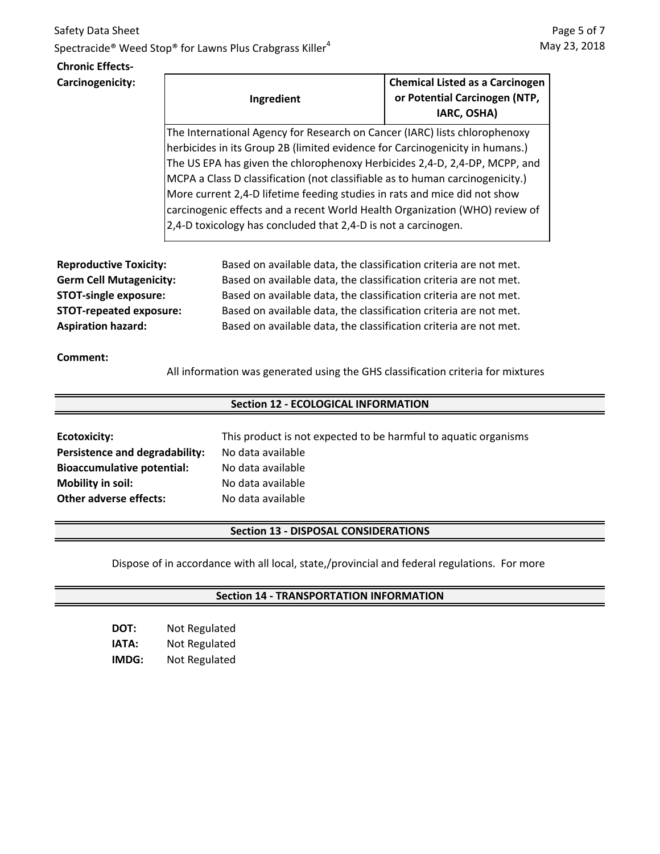# Safety Data Sheet Spectracide<sup>®</sup> Weed Stop<sup>®</sup> for Lawns Plus Crabgrass Killer<sup>4</sup>

### **Chronic Effects-Carcinogenicity:**

| Ingredient                                                                    | <b>Chemical Listed as a Carcinogen</b><br>or Potential Carcinogen (NTP,<br>IARC, OSHA) |  |
|-------------------------------------------------------------------------------|----------------------------------------------------------------------------------------|--|
| The International Agency for Research on Cancer (IARC) lists chlorophenoxy    |                                                                                        |  |
| herbicides in its Group 2B (limited evidence for Carcinogenicity in humans.)  |                                                                                        |  |
| The US EPA has given the chlorophenoxy Herbicides 2,4-D, 2,4-DP, MCPP, and    |                                                                                        |  |
| MCPA a Class D classification (not classifiable as to human carcinogenicity.) |                                                                                        |  |
| More current 2,4-D lifetime feeding studies in rats and mice did not show     |                                                                                        |  |
| carcinogenic effects and a recent World Health Organization (WHO) review of   |                                                                                        |  |
| 2,4-D toxicology has concluded that 2,4-D is not a carcinogen.                |                                                                                        |  |

**Reproductive Toxicity: Germ Cell Mutagenicity: STOT-single exposure: STOT-repeated exposure: Aspiration hazard:**

Based on available data, the classification criteria are not met. Based on available data, the classification criteria are not met. Based on available data, the classification criteria are not met. Based on available data, the classification criteria are not met. Based on available data, the classification criteria are not met.

# **Comment:**

All information was generated using the GHS classification criteria for mixtures

# **Section 12 - ECOLOGICAL INFORMATION**

| Ecotoxicity:                      | This prod |
|-----------------------------------|-----------|
| Persistence and degradability:    | No data a |
| <b>Bioaccumulative potential:</b> | No data a |
| <b>Mobility in soil:</b>          | No data a |
| <b>Other adverse effects:</b>     | No data a |

luct is not expected to be harmful to aquatic organisms **Persistence and degradability:** No data available available available available

# **Section 13 - DISPOSAL CONSIDERATIONS**

Dispose of in accordance with all local, state,/provincial and federal regulations. For more

# **Section 14 - TRANSPORTATION INFORMATION**

| DOT:  | Not Regulated |
|-------|---------------|
| IATA: | Not Regulated |
| IMDG: | Not Regulated |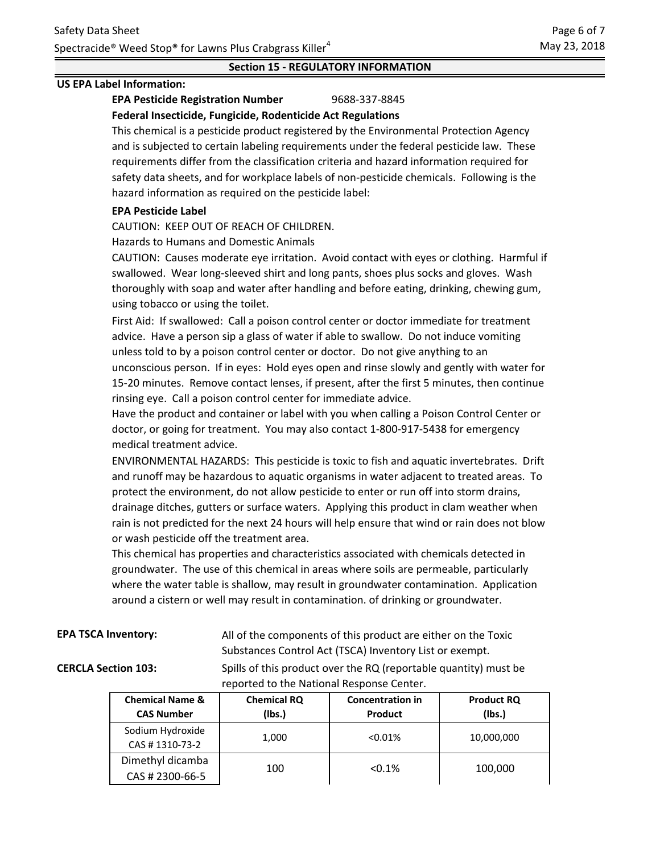# **Section 15 - REGULATORY INFORMATION**

#### **US EPA Label Information:**

#### **EPA Pesticide Registration Number** 9688-337-8845 **Federal Insecticide, Fungicide, Rodenticide Act Regulations**

This chemical is a pesticide product registered by the Environmental Protection Agency and is subjected to certain labeling requirements under the federal pesticide law. These requirements differ from the classification criteria and hazard information required for safety data sheets, and for workplace labels of non-pesticide chemicals. Following is the hazard information as required on the pesticide label:

### **EPA Pesticide Label**

CAUTION: KEEP OUT OF REACH OF CHILDREN.

Hazards to Humans and Domestic Animals

CAUTION: Causes moderate eye irritation. Avoid contact with eyes or clothing. Harmful if swallowed. Wear long-sleeved shirt and long pants, shoes plus socks and gloves. Wash thoroughly with soap and water after handling and before eating, drinking, chewing gum, using tobacco or using the toilet.

First Aid: If swallowed: Call a poison control center or doctor immediate for treatment advice. Have a person sip a glass of water if able to swallow. Do not induce vomiting unless told to by a poison control center or doctor. Do not give anything to an unconscious person. If in eyes: Hold eyes open and rinse slowly and gently with water for 15-20 minutes. Remove contact lenses, if present, after the first 5 minutes, then continue rinsing eye. Call a poison control center for immediate advice.

Have the product and container or label with you when calling a Poison Control Center or doctor, or going for treatment. You may also contact 1-800-917-5438 for emergency medical treatment advice.

ENVIRONMENTAL HAZARDS: This pesticide is toxic to fish and aquatic invertebrates. Drift and runoff may be hazardous to aquatic organisms in water adjacent to treated areas. To protect the environment, do not allow pesticide to enter or run off into storm drains, drainage ditches, gutters or surface waters. Applying this product in clam weather when rain is not predicted for the next 24 hours will help ensure that wind or rain does not blow or wash pesticide off the treatment area.

This chemical has properties and characteristics associated with chemicals detected in groundwater. The use of this chemical in areas where soils are permeable, particularly where the water table is shallow, may result in groundwater contamination. Application around a cistern or well may result in contamination. of drinking or groundwater.

|  |  | <b>EPA TSCA Inventory:</b> |  |
|--|--|----------------------------|--|
|--|--|----------------------------|--|

All of the components of this product are either on the Toxic Substances Control Act (TSCA) Inventory List or exempt.

**CERCLA Section 103:** Spills of this product over the RQ (reportable quantity) must be reported to the National Response Center.

| <b>Chemical Name &amp;</b><br><b>CAS Number</b> | <b>Chemical RQ</b><br>(lbs.) | <b>Concentration in</b><br>Product | <b>Product RQ</b><br>(Ibs.) |
|-------------------------------------------------|------------------------------|------------------------------------|-----------------------------|
| Sodium Hydroxide<br>CAS #1310-73-2              | 1,000                        | $< 0.01\%$                         | 10,000,000                  |
| Dimethyl dicamba<br>CAS # 2300-66-5             | 100                          | < 0.1%                             | 100,000                     |